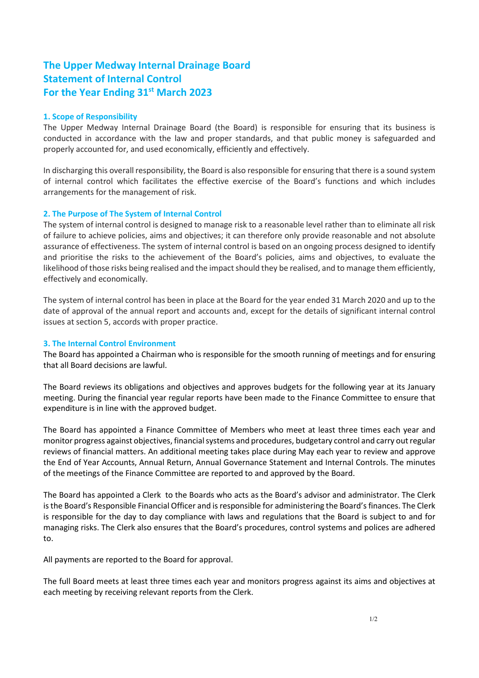# **The Upper Medway Internal Drainage Board Statement of Internal Control For the Year Ending 31st March 2023**

#### **1. Scope of Responsibility**

The Upper Medway Internal Drainage Board (the Board) is responsible for ensuring that its business is conducted in accordance with the law and proper standards, and that public money is safeguarded and properly accounted for, and used economically, efficiently and effectively.

In discharging this overall responsibility, the Board is also responsible for ensuring that there is a sound system of internal control which facilitates the effective exercise of the Board's functions and which includes arrangements for the management of risk.

## **2. The Purpose of The System of Internal Control**

The system of internal control is designed to manage risk to a reasonable level rather than to eliminate all risk of failure to achieve policies, aims and objectives; it can therefore only provide reasonable and not absolute assurance of effectiveness. The system of internal control is based on an ongoing process designed to identify and prioritise the risks to the achievement of the Board's policies, aims and objectives, to evaluate the likelihood of those risks being realised and the impact should they be realised, and to manage them efficiently, effectively and economically.

The system of internal control has been in place at the Board for the year ended 31 March 2020 and up to the date of approval of the annual report and accounts and, except for the details of significant internal control issues at section 5, accords with proper practice.

### **3. The Internal Control Environment**

The Board has appointed a Chairman who is responsible for the smooth running of meetings and for ensuring that all Board decisions are lawful.

The Board reviews its obligations and objectives and approves budgets for the following year at its January meeting. During the financial year regular reports have been made to the Finance Committee to ensure that expenditure is in line with the approved budget.

The Board has appointed a Finance Committee of Members who meet at least three times each year and monitor progress against objectives, financial systems and procedures, budgetary control and carry out regular reviews of financial matters. An additional meeting takes place during May each year to review and approve the End of Year Accounts, Annual Return, Annual Governance Statement and Internal Controls. The minutes of the meetings of the Finance Committee are reported to and approved by the Board.

The Board has appointed a Clerk to the Boards who acts as the Board's advisor and administrator. The Clerk is the Board's Responsible Financial Officer and is responsible for administering the Board's finances. The Clerk is responsible for the day to day compliance with laws and regulations that the Board is subject to and for managing risks. The Clerk also ensures that the Board's procedures, control systems and polices are adhered to.

All payments are reported to the Board for approval.

The full Board meets at least three times each year and monitors progress against its aims and objectives at each meeting by receiving relevant reports from the Clerk.